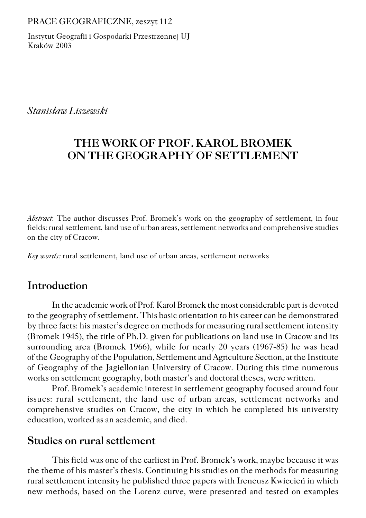#### PRACE GEOGRAFICZNE, zeszyt 112

Instytut Geografii i Gospodarki Przestrzennej UJ Kraków 2003

*Stanisław Liszewski*

# **THE WORK OF PROF. KAROL BROMEK ON THE GEOGRAPHY OF SETTLEMENT**

*Abstract*: The author discusses Prof. Bromek's work on the geography of settlement, in four fields: rural settlement, land use of urban areas, settlement networks and comprehensive studies on the city of Cracow.

*Key words:* rural settlement, land use of urban areas, settlement networks

## **Introduction**

In the academic work of Prof. Karol Bromek the most considerable part is devoted to the geography of settlement. This basic orientation to his career can be demonstrated by three facts: his master's degree on methods for measuring rural settlement intensity (Bromek 1945), the title of Ph.D. given for publications on land use in Cracow and its surrounding area (Bromek 1966), while for nearly 20 years (1967−85) he was head of theGeography of the Population, Settlement and Agriculture Section, at the Institute of Geography of the Jagiellonian University of Cracow. During this time numerous works on settlement geography, both master's and doctoral theses, were written.

Prof. Bromek's academic interest in settlement geography focused around four issues: rural settlement, the land use of urban areas, settlement networks and comprehensive studies on Cracow, the city in which he completed his university education, worked as an academic, and died.

## **Studies on rural settlement**

This field was one of the earliest in Prof. Bromek's work, maybe because it was the theme of his master's thesis. Continuing his studies on the methods for measuring rural settlement intensity he published three papers with Ireneusz Kwiecień in which new methods, based on the Lorenz curve, were presented and tested on examples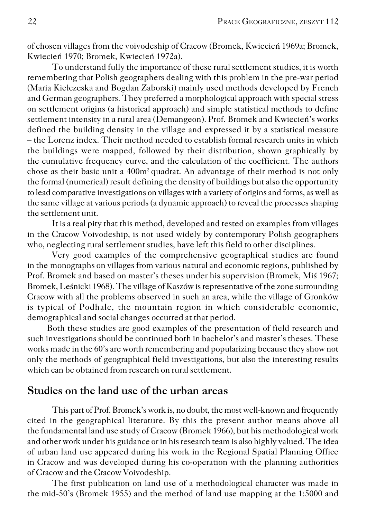of chosen villages from the voivodeship of Cracow (Bromek, Kwiecień 1969a; Bromek, Kwiecień 1970; Bromek, Kwiecień 1972a).

To understand fully the importance of these rural settlement studies, it is worth remembering that Polish geographers dealing with this problem in the pre−war period (Maria Kiełczeska and Bogdan Zaborski) mainly used methods developed by French and German geographers. They preferred a morphological approach with special stress on settlement origins (a historical approach) and simple statistical methods to define settlement intensity in a rural area (Demangeon). Prof. Bromek and Kwiecień's works defined the building density in the village and expressed it by a statistical measure – the Lorenz index. Their method needed to establish formal research units in which the buildings were mapped, followed by their distribution, shown graphically by the cumulative frequency curve, and the calculation of the coefficient. The authors chose as their basic unit a 400m<sup>2</sup> quadrat. An advantage of their method is not only the formal (numerical) result defining the density of buildings but also the opportunity to lead comparative investigations on villages with a variety of origins and forms, as well as the same village at various periods (a dynamic approach) to reveal the processes shaping the settlement unit.

It is a real pity that this method, developed and tested on examples from villages in the Cracow Voivodeship, is not used widely by contemporary Polish geographers who, neglecting rural settlement studies, have left this field to other disciplines.

Very good examples of the comprehensive geographical studies are found in the monographs on villages from various natural and economic regions, published by Prof. Bromek and based on master's theses under his supervision (Bromek, Miś 1967; Bromek, Leśnicki 1968). The village of Kaszów is representative of the zone surrounding Cracow with all the problems observed in such an area, while the village of Gronków is typical of Podhale, the mountain region in which considerable economic, demographical and social changes occurred at that period.

Both these studies are good examples of the presentation of field research and such investigations should be continued both in bachelor's and master's theses. These works made in the 60's are worth remembering and popularizing because they show not only the methods of geographical field investigations, but also the interesting results which can be obtained from research on rural settlement.

## **Studies on the land use of the urban areas**

This part of Prof. Bromek's work is, no doubt, the most well−known and frequently cited in the geographical literature. By this the present author means above all the fundamental land use study of Cracow (Bromek 1966), but his methodological work and other work under his guidance or in his research team is also highly valued. The idea of urban land use appeared during his work in the Regional Spatial Planning Office in Cracow and was developed during his co−operation with the planning authorities of Cracow and the Cracow Voivodeship.

The first publication on land use of a methodological character was made in themid−50's (Bromek 1955) and the method of land use mapping at the 1:5000 and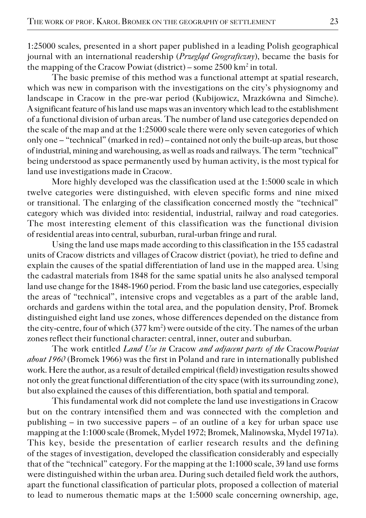1:25000 scales, presented in a short paper published in a leading Polish geographical journal with an international readership (*Przegląd Geograficzny*), became the basis for the mapping of the Cracow Powiat (district) – some 2500 km² in total.

The basic premise of this method was a functional attempt at spatial research, which was new in comparison with the investigations on the city's physiognomy and landscape in Cracow in the pre−war period (Kubijowicz, Mrazkówna and Simche). A significant feature of his land use maps was an inventory which lead to the establishment of a functional division of urban areas. The number of land use categories depended on the scale of the map and at the 1:25000 scale there were only seven categories of which only one – "technical" (marked in red) – contained not only the built−up areas, but those of industrial, mining and warehousing, as well as roads and railways. The term "technical" being understood as space permanently used by human activity, is the most typical for land use investigations made in Cracow.

More highly developed was the classification used at the 1:5000 scale in which twelve categories were distinguished, with eleven specific forms and nine mixed or transitional. The enlarging of the classification concerned mostly the "technical" category which was divided into: residential, industrial, railway and road categories. The most interesting element of this classification was the functional division of residential areas into central, suburban, rural−urban fringe and rural.

Using the land use maps made according to this classification in the 155 cadastral units of Cracow districts and villages of Cracow district (poviat)*,* he tried to define and explain the causes of the spatial differentiation of land use in the mapped area. Using thecadastral materials from 1848 for the same spatial units he also analysed temporal land use change for the 1848−1960 period. From the basic land use categories, especially the areas of "technical", intensive crops and vegetables as a part of the arable land, orchards and gardens within the total area, and the population density, Prof. Bromek distinguished eight land use zones, whose differences depended on the distance from the city-centre, four of which (377 km<sup>2</sup>) were outside of the city. The names of the urban zones reflect their functional character: central, inner, outer and suburban.

The work entitled *Land Use in* Cracow *and adjacent parts of the* Cracow*Powiat about 1960* (Bromek 1966) was the first in Poland and rare in internationally published work. Here the author, as a result of detailed empirical (field) investigation results showed not only the great functional differentiation of the city space (with its surrounding zone), but also explained the causes of this differentiation, both spatial and temporal.

This fundamental work did not complete the land use investigations in Cracow but on the contrary intensified them and was connected with the completion and publishing – in two successive papers – of an outline of a key for urban space use mapping at the 1:1000 scale (Bromek, Mydel 1972; Bromek, Malinowska, Mydel 1971a). This key, beside the presentation of earlier research results and the defining of the stages of investigation, developed the classification considerably and especially that of the "technical" category. For the mapping at the 1:1000 scale, 39 land use forms were distinguished within the urban area. During such detailed field work the authors, apart the functional classification of particular plots, proposed a collection of material to lead to numerous thematic maps at the 1:5000 scale concerning ownership, age,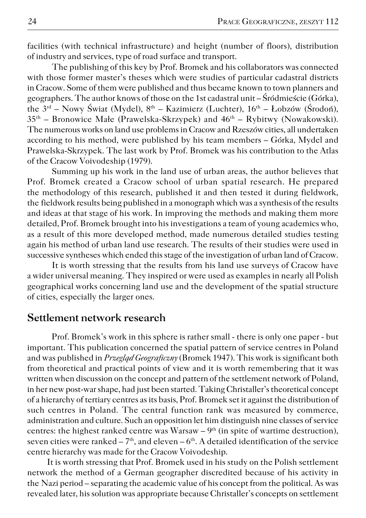facilities (with technical infrastructure) and height (number of floors), distribution of industry and services, type of road surface and transport.

The publishing of this key by Prof. Bromek and his collaborators was connected with those former master's theses which were studies of particular cadastral districts in Cracow. Some of them were published and thus became known to town planners and geographers. The author knows of those on the 1st cadastral unit – Śródmieście (Górka), the  $3<sup>rd</sup>$  – Nowy Świat (Mydel),  $8<sup>th</sup>$  – Kazimierz (Luchter),  $16<sup>th</sup>$  – Łobzów (Środoń), 35th – Bronowice Małe (Prawelska−Skrzypek) and 46th – Rybitwy (Nowakowski). The numerous works on land use problems in Cracow and Rzeszów cities, all undertaken according to his method, were published by his team members – Górka, Mydel and Prawelska−Skrzypek. The last work by Prof. Bromek was his contribution to the Atlas of the Cracow Voivodeship (1979).

Summing up his work in the land use of urban areas, the author believes that Prof. Bromek created a Cracow school of urban spatial research. He prepared the methodology of this research, published it and then tested it during fieldwork, the fieldwork results being published in a monograph which was a synthesis of the results and ideas at that stage of his work. In improving the methods and making them more detailed, Prof. Bromek brought into his investigations a team of young academics who, as a result of this more developed method, made numerous detailed studies testing again his method of urban land use research. The results of their studies were used in successive syntheses which ended this stage of the investigation of urban land of Cracow.

It is worth stressing that the results from his land use surveys of Cracow have a wider universal meaning. They inspired or were used as examples in nearly all Polish geographical works concerning land use and the development of the spatial structure of cities, especially the larger ones.

#### **Settlement network research**

Prof. Bromek's work in this sphere is rather small − there is only one paper − but important. This publication concerned the spatial pattern of service centres in Poland and was published in *Przegląd Geograficzny* (Bromek 1947). This work is significant both from theoretical and practical points of view and it is worth remembering that it was written when discussion on the concept and pattern of the settlement network of Poland, in her new post−war shape, had just been started. Taking Christaller's theoretical concept of a hierarchy of tertiary centres as its basis, Prof. Bromek set it against the distribution of such centres in Poland. The central function rank was measured by commerce, administration and culture. Such an opposition let him distinguish nine classes of service centres: the highest ranked centre was Warsaw  $-9<sup>th</sup>$  (in spite of wartime destruction), seven cities were ranked  $-7<sup>th</sup>$ , and eleven  $-6<sup>th</sup>$ . A detailed identification of the service centre hierarchy was made for the Cracow Voivodeship.

It is worth stressing that Prof. Bromek used in his study on the Polish settlement network the method of a German geographer discredited because of his activity in the Nazi period – separating the academic value of his concept from the political. As was revealed later, his solution was appropriate because Christaller's concepts on settlement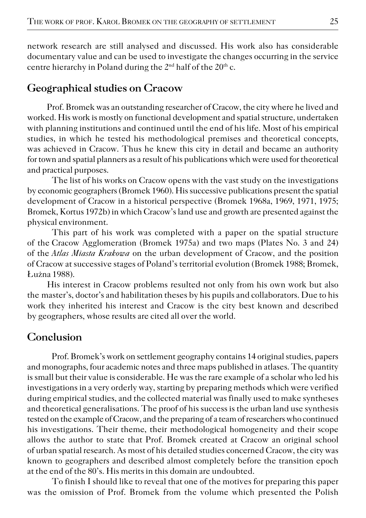network research are still analysed and discussed. His work also has considerable documentary value and can be used to investigate the changes occurring in the service centre hierarchy in Poland during the  $2<sup>nd</sup>$  half of the  $20<sup>th</sup>$  c.

## **Geographical studies on Cracow**

Prof. Bromek was an outstanding researcher of Cracow, the city where he lived and worked. His work is mostly on functional development and spatial structure, undertaken with planning institutions and continued until the end of his life. Most of his empirical studies, in which he tested his methodological premises and theoretical concepts, was achieved in Cracow. Thus he knew this city in detail and became an authority for town and spatial planners as a result of his publications which were used for theoretical and practical purposes.

The list of his works on Cracow opens with the vast study on the investigations by economic geographers (Bromek 1960). His successive publications present the spatial development of Cracow in a historical perspective (Bromek 1968a, 1969, 1971, 1975; Bromek, Kortus 1972b) in which Cracow's land use and growth are presented against the physical environment.

This part of his work was completed with a paper on the spatial structure of theCracow Agglomeration (Bromek 1975a) and two maps (Plates No. 3 and 24) of the*Atlas Miasta Krakowa* on the urban development of Cracow, and the position of Cracow at successive stages of Poland's territorial evolution (Bromek 1988; Bromek, Łużna 1988).

His interest in Cracow problems resulted not only from his own work but also the master's, doctor's and habilitation theses by his pupils and collaborators. Due to his work they inherited his interest and Cracow is the city best known and described by geographers, whose results are cited all over the world.

## **Conclusion**

Prof. Bromek's work on settlement geography contains 14 original studies, papers and monographs, four academic notes and three maps published in atlases. The quantity is small but their value is considerable. He was the rare example of a scholar who led his investigations in a very orderly way, starting by preparing methods which were verified during empirical studies, and the collected material was finally used to make syntheses and theoretical generalisations. The proof of his success is the urban land use synthesis tested on the example of Cracow, and the preparing of a team of researchers who continued his investigations. Their theme, their methodological homogeneity and their scope allows the author to state that Prof. Bromek created at Cracow an original school of urban spatial research. As most of his detailed studies concerned Cracow, the city was known to geographers and described almost completely before the transition epoch at the end of the 80's. His merits in this domain are undoubted.

To finish I should like to reveal that one of the motives for preparing this paper was the omission of Prof. Bromek from the volume which presented the Polish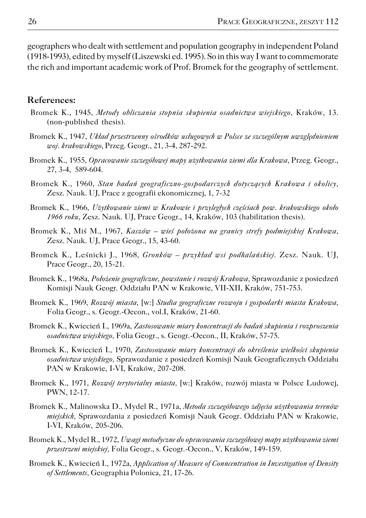geographers who dealt with settlement and population geography in independent Poland (1918−1993), edited by myself (Liszewski ed. 1995). So in this way I want to commemorate the rich and important academic work of Prof. Bromek for the geography of settlement.

#### **References:**

- Bromek K., 1945, *Metody obliczania stopnia skupienia osadnictwa wiejskiego*, Kraków, 13. (non−published thesis).
- Bromek K., 1947, *Układ przestrzenny ośrodków usługowych w Polsce ze szczególnym uwzględnieniem woj. krakowskiego*, Przeg. Geogr., 21, 3−4, 287−292.
- Bromek K., 1955, *Opracowanie szczegółowej mapy użytkowania ziemi dla Krakowa*, Przeg. Geogr., 27, 3−4, 589−604.
- Bromek K., 1960, *Stan badań geograficzno−gospodarczych dotyczących Krakowa i okolicy,* Zesz. Nauk. UJ, Prace z geografii ekonomicznej, 1, 7−32
- Bromek K., 1966, *Użytkowanie ziemi w Krakowie i przyległych częściach pow. krakowskiego około 1966 roku*, Zesz. Nauk. UJ, Prace Geogr., 14, Kraków, 103 (habilitation thesis).
- Bromek K., Miś M., 1967, *Kaszów wieś położona na granicy strefy podmiejskiej Krakowa*, Zesz. Nauk. UJ, Prace Geogr., 15, 43−60.
- Bromek K., Leśnicki J., 1968, *Gronków przykład wsi podhalańskiej.* Zesz. Nauk. UJ, Prace Geogr., 20, 15−21.
- Bromek K., 1968a, *Położenie geograficzne, powstanie i rozwój Krakowa,* Sprawozdanie z posiedzeń Komisji Nauk Geogr. Oddziału PAN w Krakowie, VII−XII, Kraków, 751−753.
- Bromek K., 1969, *Rozwój miasta*, [w:] *Studia geograficzne rozwoju i gospodarki miasta Krakowa*, Folia Geogr., s. Geogr.−Oecon., vol.I, Kraków, 21−60.
- Bromek K., Kwiecień I., 1969a, *Zastosowanie miary koncentracji do badań skupienia i rozproszenia osadnictwa wiejskiego,* Folia Geogr., s. Geogr.−Oecon., II, Kraków, 57−75.
- Bromek K., Kwiecień I., 1970, *Zastosowanie miary koncentracji do określenia wielkości skupienia osadnictwa wiejskiego,* Sprawozdanie z posiedzeń Komisji Nauk Geograficznych Oddziału PAN w Krakowie, I−VI, Kraków, 207−208.
- Bromek K., 1971, *Rozwój terytorialny miasta,* [w:] Kraków, rozwój miasta w Polsce Ludowej, PWN, 12−17.
- Bromek K., Malinowska D., Mydel R., 1971a, *Metoda szczegółowego zdjęcia użytkowania terenów miejskich,* Sprawozdania z posiedzeń Komisji Nauk Geogr. Oddziału PAN w Krakowie, I−VI, Kraków, 205−206.
- Bromek K., Mydel R., 1972, *Uwagi metodyczne do opracowania szczegółowej mapy użytkowania ziemi przestrzeni miejskiej,* Folia Geogr., s. Geogr.−Oecon., V, Kraków, 149−159.
- Bromek K., Kwiecień I., 1972a, *Application of Measure of Conncentration in Investigation of Density of Settlements,* Geographia Polonica, 21, 17−26.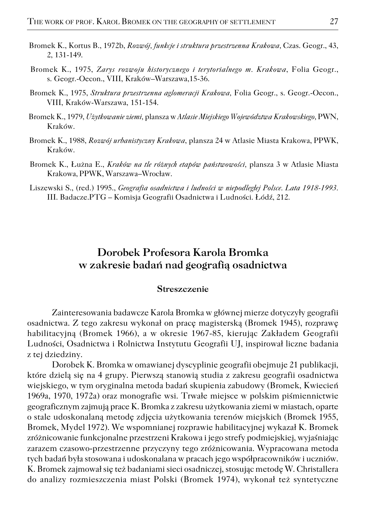- Bromek K., Kortus B., 1972b, *Rozwój, funkcje i struktura przestrzenna Krakowa,* Czas. Geogr., 43, 2, 131−149.
- Bromek K., 1975, *Zarys rozwoju historycznego i terytorialnego m. Krakowa*, Folia Geogr., s. Geogr.−Oecon., VIII, Kraków–Warszawa,15−36.
- Bromek K., 1975, *Struktura przestrzenna aglomeracji Krakowa,* Folia Geogr., s. Geogr.−Oecon., VIII, Kraków−Warszawa, 151−154.
- Bromek K., 1979, *Użytkowanie ziemi,* plansza w *Atlasie Miejskiego Województwa Krakowskiego,* PWN, Kraków.
- Bromek K., 1988, *Rozwój urbanistyczny Krakowa*, plansza 24 w Atlasie Miasta Krakowa, PPWK, Kraków.
- Bromek K., Łużna E., *Kraków na tle różnych etapów państwowości,* plansza 3 w Atlasie Miasta Krakowa, PPWK, Warszawa–Wrocław.
- Liszewski S., (red.) 1995., *Geografia osadnictwa i ludności w niepodległej Polsce. Lata 1918−1993.* III. Badacze.PTG – Komisja Geografii Osadnictwa i Ludności. Łódź, 212.

# **Dorobek Profesora Karola Bromka w zakresie badań nad geografią osadnictwa**

#### **Streszczenie**

Zainteresowania badawcze Karola Bromka w głównej mierze dotyczyły geografii osadnictwa. Z tego zakresu wykonał on pracę magisterską (Bromek 1945), rozprawę habilitacyjną (Bromek 1966), a w okresie 1967−85, kierując Zakładem Geografii Ludności, Osadnictwa i Rolnictwa Instytutu Geografii UJ, inspirował liczne badania z tej dziedziny.

Dorobek K. Bromka w omawianej dyscyplinie geografii obejmuje 21 publikacji, które dzielą się na 4 grupy. Pierwszą stanowią studia z zakresu geografii osadnictwa wiejskiego, w tym oryginalna metoda badań skupienia zabudowy (Bromek, Kwiecień 1969a, 1970, 1972a) oraz monografie wsi. Trwałe miejsce w polskim piśmiennictwie geograficznym zajmują prace K. Bromka z zakresu użytkowania ziemi w miastach, oparte o stale udoskonalaną metodę zdjęcia użytkowania terenów miejskich (Bromek 1955, Bromek, Mydel 1972). We wspomnianej rozprawie habilitacyjnej wykazał K. Bromek zróżnicowanie funkcjonalne przestrzeni Krakowa i jego strefy podmiejskiej, wyjaśniając zarazem czasowo−przestrzenne przyczyny tego zróżnicowania. Wypracowana metoda tych badań była stosowana i udoskonalana w pracach jego współpracowników i uczniów. K. Bromek zajmował się też badaniami sieci osadniczej, stosując metodę W. Christallera do analizy rozmieszczenia miast Polski (Bromek 1974), wykonał też syntetyczne